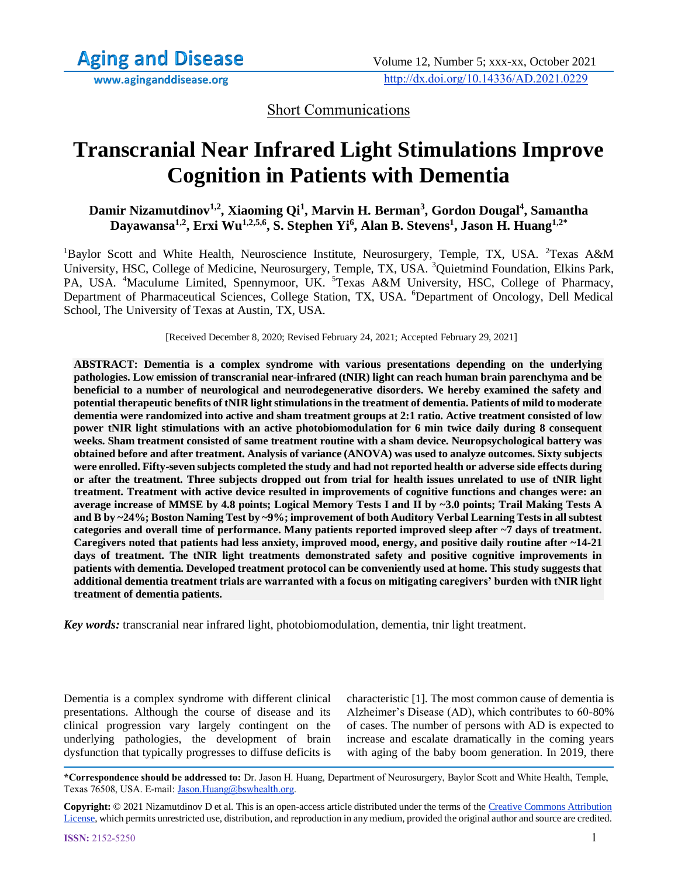Short Communications

# **Transcranial Near Infrared Light Stimulations Improve Cognition in Patients with Dementia**

**Damir Nizamutdinov1,2, Xiaoming Qi<sup>1</sup> , Marvin H. Berman<sup>3</sup> , Gordon Dougal<sup>4</sup> , Samantha Dayawansa1,2, Erxi Wu1,2,5,6, S. Stephen Yi<sup>6</sup> , Alan B. Stevens<sup>1</sup> , Jason H. Huang1,2\***

<sup>1</sup>Baylor Scott and White Health, Neuroscience Institute, Neurosurgery, Temple, TX, USA. <sup>2</sup>Texas A&M University, HSC, College of Medicine, Neurosurgery, Temple, TX, USA. <sup>3</sup>Quietmind Foundation, Elkins Park, PA, USA. <sup>4</sup>Maculume Limited, Spennymoor, UK. <sup>5</sup>Texas A&M University, HSC, College of Pharmacy, Department of Pharmaceutical Sciences, College Station, TX, USA. <sup>6</sup>Department of Oncology, Dell Medical School, The University of Texas at Austin, TX, USA.

[Received December 8, 2020; Revised February 24, 2021; Accepted February 29, 2021]

**ABSTRACT: Dementia is a complex syndrome with various presentations depending on the underlying pathologies. Low emission of transcranial near-infrared (tNIR) light can reach human brain parenchyma and be beneficial to a number of neurological and neurodegenerative disorders. We hereby examined the safety and potential therapeutic benefits of tNIR light stimulations in the treatment of dementia. Patients of mild to moderate dementia were randomized into active and sham treatment groups at 2:1 ratio. Active treatment consisted of low power tNIR light stimulations with an active photobiomodulation for 6 min twice daily during 8 consequent weeks. Sham treatment consisted of same treatment routine with a sham device. Neuropsychological battery was obtained before and after treatment. Analysis of variance (ANOVA) was used to analyze outcomes. Sixty subjects were enrolled. Fifty-seven subjects completed the study and had not reported health or adverse side effects during or after the treatment. Three subjects dropped out from trial for health issues unrelated to use of tNIR light treatment. Treatment with active device resulted in improvements of cognitive functions and changes were: an average increase of MMSE by 4.8 points; Logical Memory Tests I and II by ~3.0 points; Trail Making Tests A and B by ~24%; Boston Naming Test by ~9%; improvement of both Auditory Verbal Learning Tests in all subtest categories and overall time of performance. Many patients reported improved sleep after ~7 days of treatment. Caregivers noted that patients had less anxiety, improved mood, energy, and positive daily routine after ~14-21 days of treatment. The tNIR light treatments demonstrated safety and positive cognitive improvements in patients with dementia. Developed treatment protocol can be conveniently used at home. This study suggests that additional dementia treatment trials are warranted with a focus on mitigating caregivers' burden with tNIR light treatment of dementia patients.**

*Key words:* transcranial near infrared light, photobiomodulation, dementia, tnir light treatment.

Dementia is a complex syndrome with different clinical presentations. Although the course of disease and its clinical progression vary largely contingent on the underlying pathologies, the development of brain dysfunction that typically progresses to diffuse deficits is characteristic [1]. The most common cause of dementia is Alzheimer's Disease (AD), which contributes to 60-80% of cases. The number of persons with AD is expected to increase and escalate dramatically in the coming years with aging of the baby boom generation. In 2019, there

**\*Correspondence should be addressed to:** Dr. Jason H. Huang, Department of Neurosurgery, Baylor Scott and White Health, Temple, Texas 76508, USA. E-mail[: Jason.Huang@bswhealth.org.](mailto:Jason.Huang@bswhealth.org) 

**Copyright:** © 2021 Nizamutdinov D et al. This is an open-access article distributed under the terms of the [Creative Commons Attribution](https://creativecommons.org/licenses/by/4.0/)  [License,](https://creativecommons.org/licenses/by/4.0/) which permits unrestricted use, distribution, and reproduction in any medium, provided the original author and source are credited.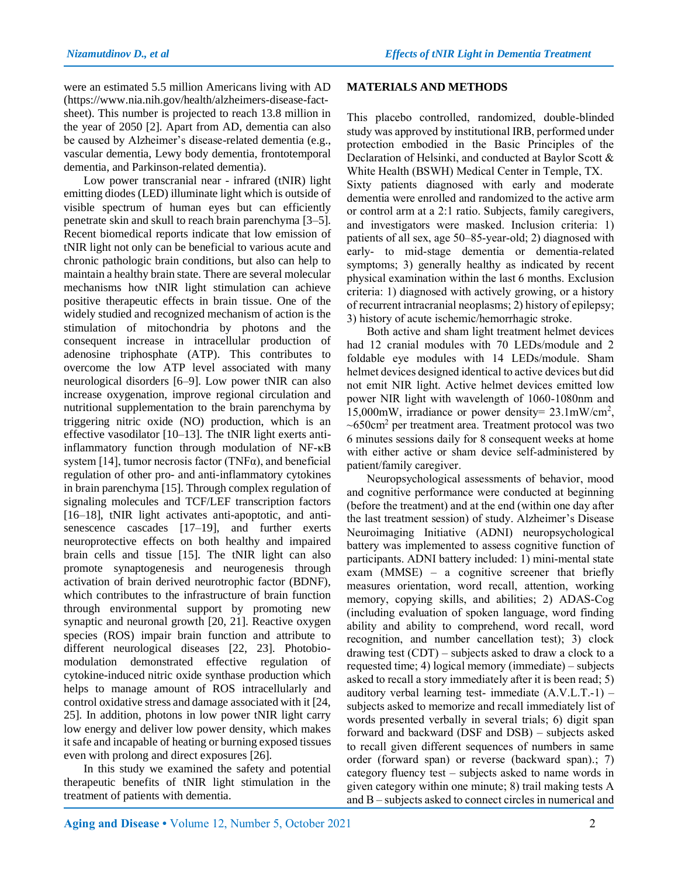were an estimated 5.5 million Americans living with AD (https://www.nia.nih.gov/health/alzheimers-disease-factsheet). This number is projected to reach 13.8 million in the year of 2050 [2]. Apart from AD, dementia can also be caused by Alzheimer's disease-related dementia (e.g., vascular dementia, Lewy body dementia, frontotemporal dementia, and Parkinson-related dementia).

Low power transcranial near - infrared (tNIR) light emitting diodes (LED) illuminate light which is outside of visible spectrum of human eyes but can efficiently penetrate skin and skull to reach brain parenchyma [3–5]. Recent biomedical reports indicate that low emission of tNIR light not only can be beneficial to various acute and chronic pathologic brain conditions, but also can help to maintain a healthy brain state. There are several molecular mechanisms how tNIR light stimulation can achieve positive therapeutic effects in brain tissue. One of the widely studied and recognized mechanism of action is the stimulation of mitochondria by photons and the consequent increase in intracellular production of adenosine triphosphate (ATP). This contributes to overcome the low ATP level associated with many neurological disorders [6–9]. Low power tNIR can also increase oxygenation, improve regional circulation and nutritional supplementation to the brain parenchyma by triggering nitric oxide (NO) production, which is an effective vasodilator [10–13]. The tNIR light exerts antiinflammatory function through modulation of NF-κB system [14], tumor necrosis factor (TNF $\alpha$ ), and beneficial regulation of other pro- and anti-inflammatory cytokines in brain parenchyma [15]. Through complex regulation of signaling molecules and TCF/LEF transcription factors [16–18], tNIR light activates anti-apoptotic, and antisenescence cascades [17–19], and further exerts neuroprotective effects on both healthy and impaired brain cells and tissue [15]. The tNIR light can also promote synaptogenesis and neurogenesis through activation of brain derived neurotrophic factor (BDNF), which contributes to the infrastructure of brain function through environmental support by promoting new synaptic and neuronal growth [20, 21]. Reactive oxygen species (ROS) impair brain function and attribute to different neurological diseases [22, 23]. Photobiomodulation demonstrated effective regulation of cytokine-induced nitric oxide synthase production which helps to manage amount of ROS intracellularly and control oxidative stress and damage associated with it [24, 25]. In addition, photons in low power tNIR light carry low energy and deliver low power density, which makes it safe and incapable of heating or burning exposed tissues even with prolong and direct exposures [26].

In this study we examined the safety and potential therapeutic benefits of tNIR light stimulation in the treatment of patients with dementia.

#### **MATERIALS AND METHODS**

This placebo controlled, randomized, double-blinded study was approved by institutional IRB, performed under protection embodied in the Basic Principles of the Declaration of Helsinki, and conducted at Baylor Scott & White Health (BSWH) Medical Center in Temple, TX. Sixty patients diagnosed with early and moderate dementia were enrolled and randomized to the active arm or control arm at a 2:1 ratio. Subjects, family caregivers, and investigators were masked. Inclusion criteria: 1) patients of all sex, age 50–85-year-old; 2) diagnosed with early- to mid-stage dementia or dementia-related symptoms; 3) generally healthy as indicated by recent physical examination within the last 6 months. Exclusion criteria: 1) diagnosed with actively growing, or a history of recurrent intracranial neoplasms; 2) history of epilepsy;

3) history of acute ischemic/hemorrhagic stroke. Both active and sham light treatment helmet devices had 12 cranial modules with 70 LEDs/module and 2 foldable eye modules with 14 LEDs/module. Sham helmet devices designed identical to active devices but did not emit NIR light. Active helmet devices emitted low power NIR light with wavelength of 1060-1080nm and 15,000mW, irradiance or power density= 23.1mW/cm<sup>2</sup> ,  $\sim$ 650cm<sup>2</sup> per treatment area. Treatment protocol was two 6 minutes sessions daily for 8 consequent weeks at home with either active or sham device self-administered by patient/family caregiver.

Neuropsychological assessments of behavior, mood and cognitive performance were conducted at beginning (before the treatment) and at the end (within one day after the last treatment session) of study. Alzheimer's Disease Neuroimaging Initiative (ADNI) neuropsychological battery was implemented to assess cognitive function of participants. ADNI battery included: 1) mini‐mental state exam (MMSE) – a cognitive screener that briefly measures orientation, word recall, attention, working memory, copying skills, and abilities; 2) ADAS‐Cog (including evaluation of spoken language, word finding ability and ability to comprehend, word recall, word recognition, and number cancellation test); 3) clock drawing test (CDT) – subjects asked to draw a clock to a requested time; 4) logical memory (immediate) – subjects asked to recall a story immediately after it is been read; 5) auditory verbal learning test- immediate  $(A.V.L.T.-1)$  – subjects asked to memorize and recall immediately list of words presented verbally in several trials; 6) digit span forward and backward (DSF and DSB) – subjects asked to recall given different sequences of numbers in same order (forward span) or reverse (backward span).; 7) category fluency test – subjects asked to name words in given category within one minute; 8) trail making tests A and B – subjects asked to connect circles in numerical and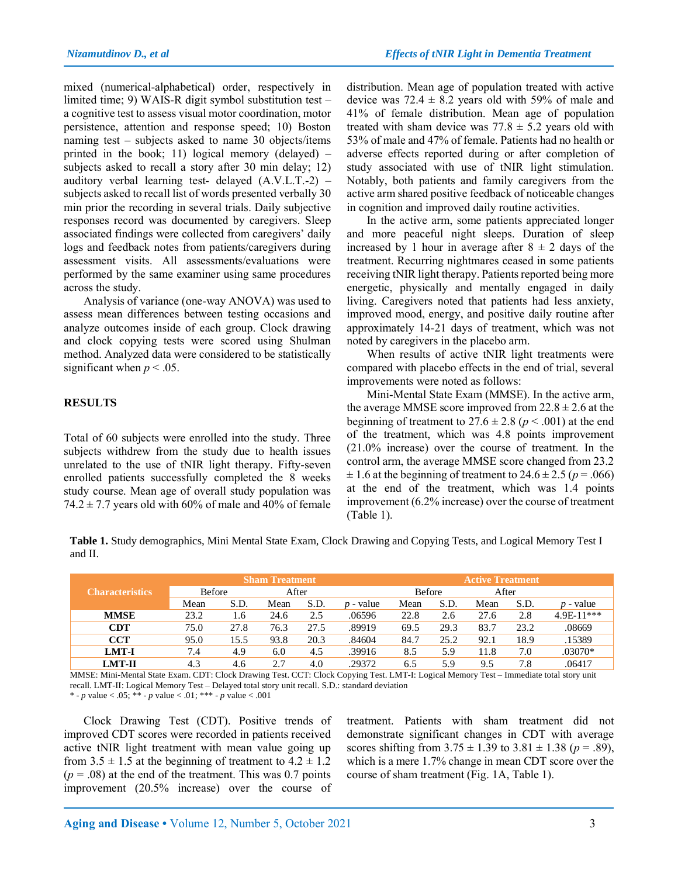mixed (numerical-alphabetical) order, respectively in limited time; 9) WAIS‐R digit symbol substitution test – a cognitive test to assess visual motor coordination, motor persistence, attention and response speed; 10) Boston naming test – subjects asked to name 30 objects/items printed in the book; 11) logical memory (delayed) – subjects asked to recall a story after 30 min delay; 12) auditory verbal learning test- delayed (A.V.L.T.-2) – subjects asked to recall list of words presented verbally 30 min prior the recording in several trials. Daily subjective responses record was documented by caregivers. Sleep associated findings were collected from caregivers' daily logs and feedback notes from patients/caregivers during assessment visits. All assessments/evaluations were performed by the same examiner using same procedures across the study.

Analysis of variance (one-way ANOVA) was used to assess mean differences between testing occasions and analyze outcomes inside of each group. Clock drawing and clock copying tests were scored using Shulman method. Analyzed data were considered to be statistically significant when  $p < .05$ .

# **RESULTS**

Total of 60 subjects were enrolled into the study. Three subjects withdrew from the study due to health issues unrelated to the use of tNIR light therapy. Fifty-seven enrolled patients successfully completed the 8 weeks study course. Mean age of overall study population was 74.2  $\pm$  7.7 years old with 60% of male and 40% of female distribution. Mean age of population treated with active device was  $72.4 \pm 8.2$  years old with 59% of male and 41% of female distribution. Mean age of population treated with sham device was  $77.8 \pm 5.2$  years old with 53% of male and 47% of female. Patients had no health or adverse effects reported during or after completion of study associated with use of tNIR light stimulation. Notably, both patients and family caregivers from the active arm shared positive feedback of noticeable changes in cognition and improved daily routine activities.

In the active arm, some patients appreciated longer and more peaceful night sleeps. Duration of sleep increased by 1 hour in average after  $8 \pm 2$  days of the treatment. Recurring nightmares ceased in some patients receiving tNIR light therapy. Patients reported being more energetic, physically and mentally engaged in daily living. Caregivers noted that patients had less anxiety, improved mood, energy, and positive daily routine after approximately 14-21 days of treatment, which was not noted by caregivers in the placebo arm.

When results of active tNIR light treatments were compared with placebo effects in the end of trial, several improvements were noted as follows:

Mini-Mental State Exam (MMSE). In the active arm, the average MMSE score improved from  $22.8 \pm 2.6$  at the beginning of treatment to  $27.6 \pm 2.8$  ( $p < .001$ ) at the end of the treatment, which was 4.8 points improvement (21.0% increase) over the course of treatment. In the control arm, the average MMSE score changed from 23.2  $\pm$  1.6 at the beginning of treatment to 24.6  $\pm$  2.5 ( $p = .066$ ) at the end of the treatment, which was 1.4 points improvement (6.2% increase) over the course of treatment (Table 1).

**Table 1.** Study demographics, Mini Mental State Exam, Clock Drawing and Copying Tests, and Logical Memory Test I and II.

|                        |               |      | <b>Active Treatment</b> |      |             |               |      |       |      |             |
|------------------------|---------------|------|-------------------------|------|-------------|---------------|------|-------|------|-------------|
| <b>Characteristics</b> | <b>Before</b> |      | After                   |      |             | <b>Before</b> |      | After |      |             |
|                        | Mean          | S.D. | Mean                    | S.D. | $p$ - value | Mean          | S.D. | Mean  | S.D. | $p$ - value |
| <b>MMSE</b>            | 23.2          | 1.6  | 24.6                    | 2.5  | .06596      | 22.8          | 2.6  | 27.6  | 2.8  | 4.9E-11***  |
| <b>CDT</b>             | 75.0          | 27.8 | 76.3                    | 27.5 | .89919      | 69.5          | 29.3 | 83.7  | 23.2 | .08669      |
| <b>CCT</b>             | 95.0          | 15.5 | 93.8                    | 20.3 | .84604      | 84.7          | 25.2 | 92.1  | 18.9 | .15389      |
| <b>LMT-I</b>           | 7.4           | 4.9  | 6.0                     | 4.5  | .39916      | 8.5           | 5.9  | 11.8  | 7.0  | .03070*     |
| <b>LMT-II</b>          | 4.3           | 4.6  | 2.7                     | 4.0  | .29372      | 6.5           | 5.9  | 9.5   | 7.8  | .06417      |

MMSE: Mini-Mental State Exam. CDT: Clock Drawing Test. CCT: Clock Copying Test. LMT-I: Logical Memory Test – Immediate total story unit recall. LMT-II: Logical Memory Test – Delayed total story unit recall. S.D.: standard deviation

\* - *p* value < .05; \*\* - *p* value < .01; \*\*\* - *p* value < .001

Clock Drawing Test (CDT). Positive trends of improved CDT scores were recorded in patients received active tNIR light treatment with mean value going up from  $3.5 \pm 1.5$  at the beginning of treatment to  $4.2 \pm 1.2$  $(p = .08)$  at the end of the treatment. This was 0.7 points improvement (20.5% increase) over the course of treatment. Patients with sham treatment did not demonstrate significant changes in CDT with average scores shifting from  $3.75 \pm 1.39$  to  $3.81 \pm 1.38$  ( $p = .89$ ), which is a mere 1.7% change in mean CDT score over the course of sham treatment (Fig. 1A, Table 1).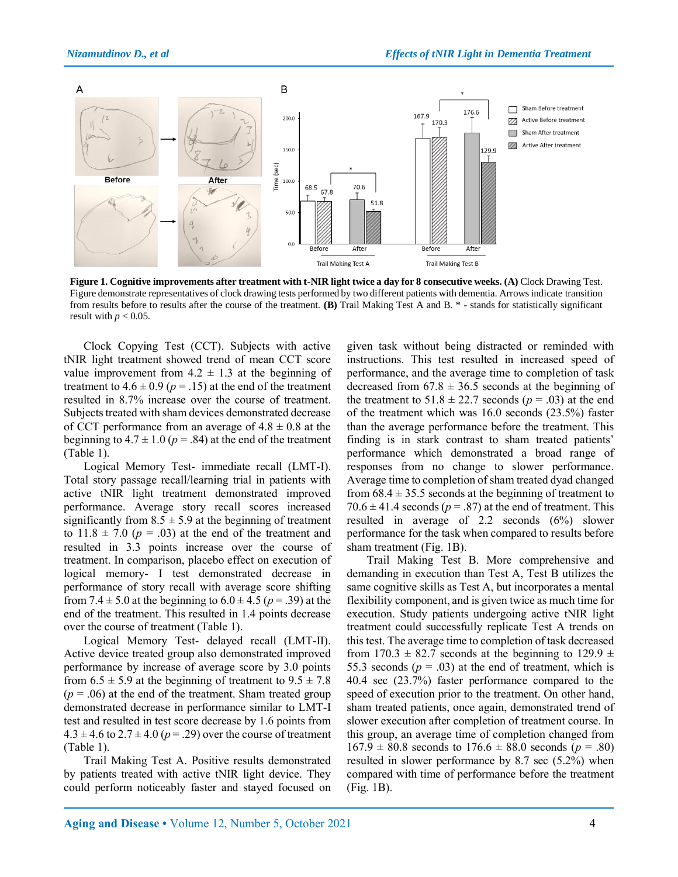

**Figure 1. Cognitive improvements after treatment with t-NIR light twice a day for 8 consecutive weeks. (A)** Clock Drawing Test. Figure demonstrate representatives of clock drawing tests performed by two different patients with dementia. Arrows indicate transition from results before to results after the course of the treatment. **(B)** Trail Making Test A and B. \* - stands for statistically significant result with  $p < 0.05$ .

Clock Copying Test (CCT). Subjects with active tNIR light treatment showed trend of mean CCT score value improvement from  $4.2 \pm 1.3$  at the beginning of treatment to  $4.6 \pm 0.9$  ( $p = .15$ ) at the end of the treatment resulted in 8.7% increase over the course of treatment. Subjects treated with sham devices demonstrated decrease of CCT performance from an average of  $4.8 \pm 0.8$  at the beginning to  $4.7 \pm 1.0$  ( $p = .84$ ) at the end of the treatment (Table 1).

Logical Memory Test- immediate recall (LMT-I). Total story passage recall/learning trial in patients with active tNIR light treatment demonstrated improved performance. Average story recall scores increased significantly from  $8.5 \pm 5.9$  at the beginning of treatment to  $11.8 \pm 7.0$  ( $p = .03$ ) at the end of the treatment and resulted in 3.3 points increase over the course of treatment. In comparison, placebo effect on execution of logical memory- I test demonstrated decrease in performance of story recall with average score shifting from 7.4  $\pm$  5.0 at the beginning to 6.0  $\pm$  4.5 ( $p = .39$ ) at the end of the treatment. This resulted in 1.4 points decrease over the course of treatment (Table 1).

Logical Memory Test- delayed recall (LMT-II). Active device treated group also demonstrated improved performance by increase of average score by 3.0 points from  $6.5 \pm 5.9$  at the beginning of treatment to  $9.5 \pm 7.8$  $(p = .06)$  at the end of the treatment. Sham treated group demonstrated decrease in performance similar to LMT-I test and resulted in test score decrease by 1.6 points from  $4.3 \pm 4.6$  to  $2.7 \pm 4.0$  ( $p = .29$ ) over the course of treatment (Table 1).

Trail Making Test A. Positive results demonstrated by patients treated with active tNIR light device. They could perform noticeably faster and stayed focused on given task without being distracted or reminded with instructions. This test resulted in increased speed of performance, and the average time to completion of task decreased from  $67.8 \pm 36.5$  seconds at the beginning of the treatment to  $51.8 \pm 22.7$  seconds ( $p = .03$ ) at the end of the treatment which was 16.0 seconds (23.5%) faster than the average performance before the treatment. This finding is in stark contrast to sham treated patients' performance which demonstrated a broad range of responses from no change to slower performance. Average time to completion of sham treated dyad changed from  $68.4 \pm 35.5$  seconds at the beginning of treatment to  $70.6 \pm 41.4$  seconds ( $p = .87$ ) at the end of treatment. This resulted in average of 2.2 seconds (6%) slower performance for the task when compared to results before sham treatment (Fig. 1B).

Trail Making Test B. More comprehensive and demanding in execution than Test A, Test B utilizes the same cognitive skills as Test A, but incorporates a mental flexibility component, and is given twice as much time for execution. Study patients undergoing active tNIR light treatment could successfully replicate Test A trends on this test. The average time to completion of task decreased from 170.3  $\pm$  82.7 seconds at the beginning to 129.9  $\pm$ 55.3 seconds  $(p = .03)$  at the end of treatment, which is 40.4 sec (23.7%) faster performance compared to the speed of execution prior to the treatment. On other hand, sham treated patients, once again, demonstrated trend of slower execution after completion of treatment course. In this group, an average time of completion changed from  $167.9 \pm 80.8$  seconds to  $176.6 \pm 88.0$  seconds ( $p = .80$ ) resulted in slower performance by 8.7 sec (5.2%) when compared with time of performance before the treatment (Fig. 1B).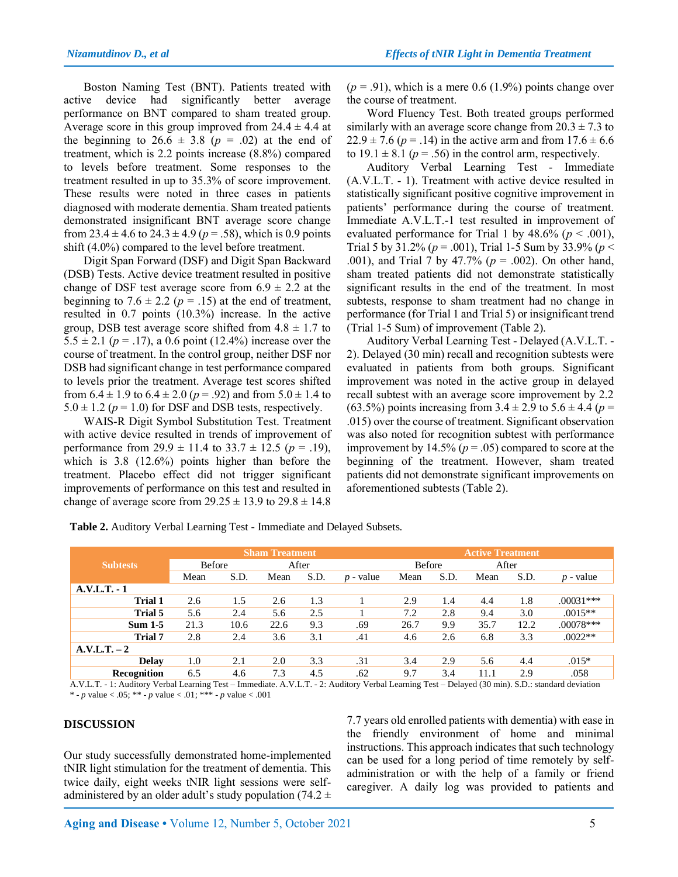Boston Naming Test (BNT). Patients treated with active device had significantly better average performance on BNT compared to sham treated group. Average score in this group improved from  $24.4 \pm 4.4$  at the beginning to  $26.6 \pm 3.8$  ( $p = .02$ ) at the end of treatment, which is 2.2 points increase (8.8%) compared to levels before treatment. Some responses to the treatment resulted in up to 35.3% of score improvement. These results were noted in three cases in patients diagnosed with moderate dementia. Sham treated patients demonstrated insignificant BNT average score change from  $23.4 \pm 4.6$  to  $24.3 \pm 4.9$  ( $p = .58$ ), which is 0.9 points shift (4.0%) compared to the level before treatment.

Digit Span Forward (DSF) and Digit Span Backward (DSB) Tests. Active device treatment resulted in positive change of DSF test average score from  $6.9 \pm 2.2$  at the beginning to  $7.6 \pm 2.2$  ( $p = .15$ ) at the end of treatment, resulted in 0.7 points (10.3%) increase. In the active group, DSB test average score shifted from  $4.8 \pm 1.7$  to 5.5  $\pm$  2.1 ( $p = .17$ ), a 0.6 point (12.4%) increase over the course of treatment. In the control group, neither DSF nor DSB had significant change in test performance compared to levels prior the treatment. Average test scores shifted from  $6.4 \pm 1.9$  to  $6.4 \pm 2.0$  ( $p = .92$ ) and from  $5.0 \pm 1.4$  to  $5.0 \pm 1.2$  ( $p = 1.0$ ) for DSF and DSB tests, respectively.

WAIS‐R Digit Symbol Substitution Test. Treatment with active device resulted in trends of improvement of performance from  $29.9 \pm 11.4$  to  $33.7 \pm 12.5$  ( $p = .19$ ), which is 3.8 (12.6%) points higher than before the treatment. Placebo effect did not trigger significant improvements of performance on this test and resulted in change of average score from  $29.25 \pm 13.9$  to  $29.8 \pm 14.8$ 

 $(p = .91)$ , which is a mere 0.6 (1.9%) points change over the course of treatment.

Word Fluency Test. Both treated groups performed similarly with an average score change from  $20.3 \pm 7.3$  to  $22.9 \pm 7.6$  ( $p = .14$ ) in the active arm and from  $17.6 \pm 6.6$ to  $19.1 \pm 8.1$  ( $p = .56$ ) in the control arm, respectively.

Auditory Verbal Learning Test - Immediate (A.V.L.T. - 1). Treatment with active device resulted in statistically significant positive cognitive improvement in patients' performance during the course of treatment. Immediate A.V.L.T.-1 test resulted in improvement of evaluated performance for Trial 1 by  $48.6\%$  ( $p < .001$ ), Trial 5 by 31.2% (*p* = .001), Trial 1-5 Sum by 33.9% (*p* < .001), and Trial 7 by 47.7% (*p* = .002). On other hand, sham treated patients did not demonstrate statistically significant results in the end of the treatment. In most subtests, response to sham treatment had no change in performance (for Trial 1 and Trial 5) or insignificant trend (Trial 1-5 Sum) of improvement (Table 2).

Auditory Verbal Learning Test - Delayed (A.V.L.T. - 2). Delayed (30 min) recall and recognition subtests were evaluated in patients from both groups. Significant improvement was noted in the active group in delayed recall subtest with an average score improvement by 2.2 (63.5%) points increasing from  $3.4 \pm 2.9$  to  $5.6 \pm 4.4$  ( $p =$ .015) over the course of treatment. Significant observation was also noted for recognition subtest with performance improvement by  $14.5\%$  ( $p = .05$ ) compared to score at the beginning of the treatment. However, sham treated patients did not demonstrate significant improvements on aforementioned subtests (Table 2).

**Table 2.** Auditory Verbal Learning Test - Immediate and Delayed Subsets.

|                 |               |      | <b>Active Treatment</b> |      |             |               |      |       |      |             |
|-----------------|---------------|------|-------------------------|------|-------------|---------------|------|-------|------|-------------|
| <b>Subtests</b> | <b>Before</b> |      | After                   |      |             | <b>Before</b> |      | After |      |             |
|                 | Mean          | S.D. | Mean                    | S.D. | $p$ - value | Mean          | S.D. | Mean  | S.D. | $p$ - value |
| $A.V.L.T.-1$    |               |      |                         |      |             |               |      |       |      |             |
| <b>Trial 1</b>  | 2.6           | 1.5  | 2.6                     | 1.3  |             | 2.9           | 1.4  | 4.4   | 1.8  | $.00031***$ |
| Trial 5         | 5.6           | 2.4  | 5.6                     | 2.5  |             | 7.2           | 2.8  | 9.4   | 3.0  | $.0015**$   |
| $Sum 1-5$       | 21.3          | 10.6 | 22.6                    | 9.3  | .69         | 26.7          | 9.9  | 35.7  | 12.2 | .00078***   |
| <b>Trial 7</b>  | 2.8           | 2.4  | 3.6                     | 3.1  | .41         | 4.6           | 2.6  | 6.8   | 3.3  | $.0022**$   |
| $A.V.L.T. - 2$  |               |      |                         |      |             |               |      |       |      |             |
| <b>Delay</b>    | $1.0\,$       | 2.1  | 2.0                     | 3.3  | .31         | 3.4           | 2.9  | 5.6   | 4.4  | $.015*$     |
| Recognition     | 6.5           | 4.6  | 7.3                     | 4.5  | .62         | 9.7           | 3.4  | 11.1  | 2.9  | .058        |

A.V.L.T. - 1: Auditory Verbal Learning Test – Immediate. A.V.L.T. - 2: Auditory Verbal Learning Test – Delayed (30 min). S.D.: standard deviation \* - *p* value < .05; \*\* - *p* value < .01; \*\*\* - *p* value < .001

## **DISCUSSION**

Our study successfully demonstrated home-implemented tNIR light stimulation for the treatment of dementia. This twice daily, eight weeks tNIR light sessions were selfadministered by an older adult's study population (74.2  $\pm$  7.7 years old enrolled patients with dementia) with ease in the friendly environment of home and minimal instructions. This approach indicates that such technology can be used for a long period of time remotely by selfadministration or with the help of a family or friend caregiver. A daily log was provided to patients and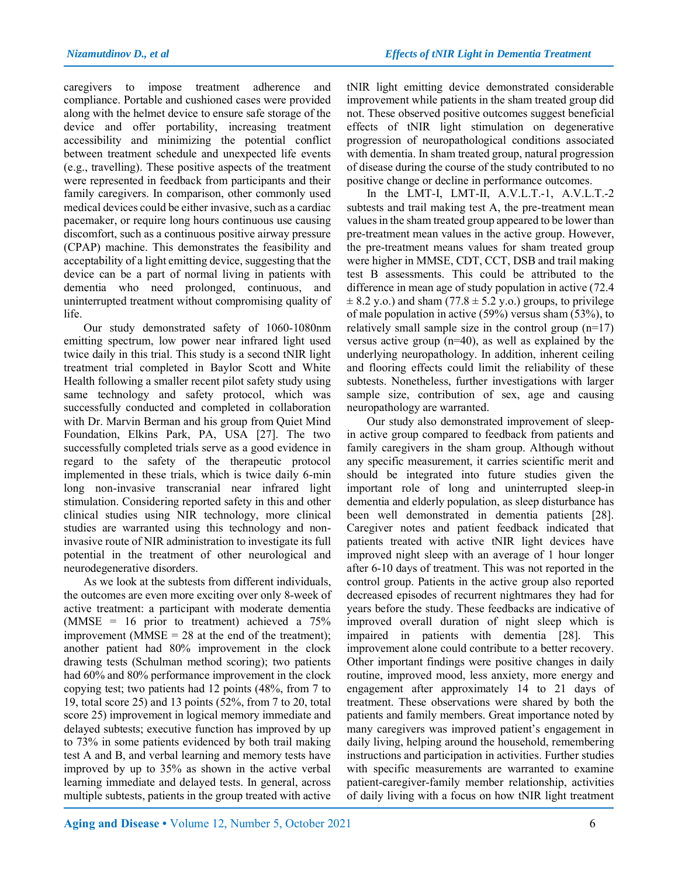caregivers to impose treatment adherence and compliance. Portable and cushioned cases were provided along with the helmet device to ensure safe storage of the device and offer portability, increasing treatment accessibility and minimizing the potential conflict between treatment schedule and unexpected life events (e.g., travelling). These positive aspects of the treatment were represented in feedback from participants and their family caregivers. In comparison, other commonly used medical devices could be either invasive, such as a cardiac pacemaker, or require long hours continuous use causing discomfort, such as a continuous positive airway pressure (CPAP) machine. This demonstrates the feasibility and acceptability of a light emitting device, suggesting that the device can be a part of normal living in patients with dementia who need prolonged, continuous, and uninterrupted treatment without compromising quality of life.

Our study demonstrated safety of 1060-1080nm emitting spectrum, low power near infrared light used twice daily in this trial. This study is a second tNIR light treatment trial completed in Baylor Scott and White Health following a smaller recent pilot safety study using same technology and safety protocol, which was successfully conducted and completed in collaboration with Dr. Marvin Berman and his group from Quiet Mind Foundation, Elkins Park, PA, USA [27]. The two successfully completed trials serve as a good evidence in regard to the safety of the therapeutic protocol implemented in these trials, which is twice daily 6-min long non-invasive transcranial near infrared light stimulation. Considering reported safety in this and other clinical studies using NIR technology, more clinical studies are warranted using this technology and noninvasive route of NIR administration to investigate its full potential in the treatment of other neurological and neurodegenerative disorders.

As we look at the subtests from different individuals, the outcomes are even more exciting over only 8-week of active treatment: a participant with moderate dementia (MMSE =  $16$  prior to treatment) achieved a  $75\%$ improvement (MMSE =  $28$  at the end of the treatment); another patient had 80% improvement in the clock drawing tests (Schulman method scoring); two patients had 60% and 80% performance improvement in the clock copying test; two patients had 12 points (48%, from 7 to 19, total score 25) and 13 points (52%, from 7 to 20, total score 25) improvement in logical memory immediate and delayed subtests; executive function has improved by up to 73% in some patients evidenced by both trail making test A and B, and verbal learning and memory tests have improved by up to 35% as shown in the active verbal learning immediate and delayed tests. In general, across multiple subtests, patients in the group treated with active

tNIR light emitting device demonstrated considerable improvement while patients in the sham treated group did not. These observed positive outcomes suggest beneficial effects of tNIR light stimulation on degenerative progression of neuropathological conditions associated with dementia. In sham treated group, natural progression of disease during the course of the study contributed to no positive change or decline in performance outcomes.

In the LMT-I, LMT-II, A.V.L.T.-1, A.V.L.T.-2 subtests and trail making test A, the pre-treatment mean values in the sham treated group appeared to be lower than pre-treatment mean values in the active group. However, the pre-treatment means values for sham treated group were higher in MMSE, CDT, CCT, DSB and trail making test B assessments. This could be attributed to the difference in mean age of study population in active (72.4  $\pm$  8.2 y.o.) and sham (77.8  $\pm$  5.2 y.o.) groups, to privilege of male population in active (59%) versus sham (53%), to relatively small sample size in the control group  $(n=17)$ versus active group (n=40), as well as explained by the underlying neuropathology. In addition, inherent ceiling and flooring effects could limit the reliability of these subtests. Nonetheless, further investigations with larger sample size, contribution of sex, age and causing neuropathology are warranted.

Our study also demonstrated improvement of sleepin active group compared to feedback from patients and family caregivers in the sham group. Although without any specific measurement, it carries scientific merit and should be integrated into future studies given the important role of long and uninterrupted sleep-in dementia and elderly population, as sleep disturbance has been well demonstrated in dementia patients [28]. Caregiver notes and patient feedback indicated that patients treated with active tNIR light devices have improved night sleep with an average of 1 hour longer after 6-10 days of treatment. This was not reported in the control group. Patients in the active group also reported decreased episodes of recurrent nightmares they had for years before the study. These feedbacks are indicative of improved overall duration of night sleep which is impaired in patients with dementia [28]. This improvement alone could contribute to a better recovery. Other important findings were positive changes in daily routine, improved mood, less anxiety, more energy and engagement after approximately 14 to 21 days of treatment. These observations were shared by both the patients and family members. Great importance noted by many caregivers was improved patient's engagement in daily living, helping around the household, remembering instructions and participation in activities. Further studies with specific measurements are warranted to examine patient-caregiver-family member relationship, activities of daily living with a focus on how tNIR light treatment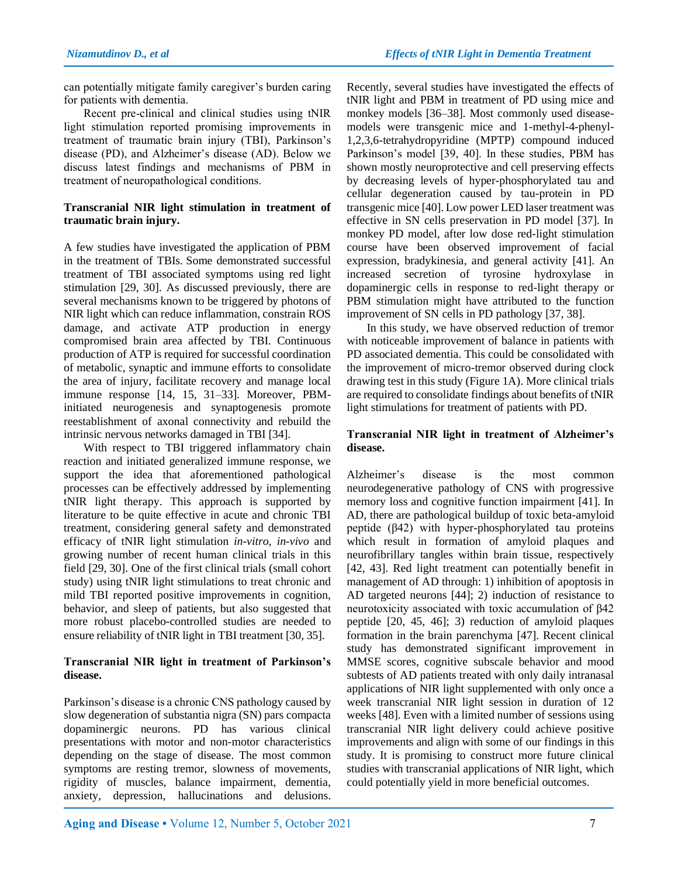can potentially mitigate family caregiver's burden caring for patients with dementia.

Recent pre-clinical and clinical studies using tNIR light stimulation reported promising improvements in treatment of traumatic brain injury (TBI), Parkinson's disease (PD), and Alzheimer's disease (AD). Below we discuss latest findings and mechanisms of PBM in treatment of neuropathological conditions.

# **Transcranial NIR light stimulation in treatment of traumatic brain injury.**

A few studies have investigated the application of PBM in the treatment of TBIs. Some demonstrated successful treatment of TBI associated symptoms using red light stimulation [29, 30]. As discussed previously, there are several mechanisms known to be triggered by photons of NIR light which can reduce inflammation, constrain ROS damage, and activate ATP production in energy compromised brain area affected by TBI. Continuous production of ATP is required for successful coordination of metabolic, synaptic and immune efforts to consolidate the area of injury, facilitate recovery and manage local immune response [14, 15, 31–33]. Moreover, PBMinitiated neurogenesis and synaptogenesis promote reestablishment of axonal connectivity and rebuild the intrinsic nervous networks damaged in TBI [34].

With respect to TBI triggered inflammatory chain reaction and initiated generalized immune response, we support the idea that aforementioned pathological processes can be effectively addressed by implementing tNIR light therapy. This approach is supported by literature to be quite effective in acute and chronic TBI treatment, considering general safety and demonstrated efficacy of tNIR light stimulation *in-vitro*, *in-vivo* and growing number of recent human clinical trials in this field [29, 30]. One of the first clinical trials (small cohort study) using tNIR light stimulations to treat chronic and mild TBI reported positive improvements in cognition, behavior, and sleep of patients, but also suggested that more robust placebo-controlled studies are needed to ensure reliability of tNIR light in TBI treatment [30, 35].

## **Transcranial NIR light in treatment of Parkinson's disease.**

Parkinson's disease is a chronic CNS pathology caused by slow degeneration of substantia nigra (SN) pars compacta dopaminergic neurons. PD has various clinical presentations with motor and non-motor characteristics depending on the stage of disease. The most common symptoms are resting tremor, slowness of movements, rigidity of muscles, balance impairment, dementia, anxiety, depression, hallucinations and delusions.

Recently, several studies have investigated the effects of tNIR light and PBM in treatment of PD using mice and monkey models [36–38]. Most commonly used diseasemodels were transgenic mice and 1-methyl-4-phenyl-1,2,3,6-tetrahydropyridine (MPTP) compound induced Parkinson's model [39, 40]. In these studies, PBM has shown mostly neuroprotective and cell preserving effects by decreasing levels of hyper-phosphorylated tau and cellular degeneration caused by tau-protein in PD transgenic mice [40]. Low power LED laser treatment was effective in SN cells preservation in PD model [37]. In monkey PD model, after low dose red-light stimulation course have been observed improvement of facial expression, bradykinesia, and general activity [41]. An increased secretion of tyrosine hydroxylase in dopaminergic cells in response to red-light therapy or PBM stimulation might have attributed to the function improvement of SN cells in PD pathology [37, 38].

In this study, we have observed reduction of tremor with noticeable improvement of balance in patients with PD associated dementia. This could be consolidated with the improvement of micro-tremor observed during clock drawing test in this study (Figure 1A). More clinical trials are required to consolidate findings about benefits of tNIR light stimulations for treatment of patients with PD.

# **Transcranial NIR light in treatment of Alzheimer's disease.**

Alzheimer's disease is the most common neurodegenerative pathology of CNS with progressive memory loss and cognitive function impairment [41]. In AD, there are pathological buildup of toxic beta-amyloid peptide (β42) with hyper-phosphorylated tau proteins which result in formation of amyloid plaques and neurofibrillary tangles within brain tissue, respectively [42, 43]. Red light treatment can potentially benefit in management of AD through: 1) inhibition of apoptosis in AD targeted neurons [44]; 2) induction of resistance to neurotoxicity associated with toxic accumulation of β42 peptide [20, 45, 46]; 3) reduction of amyloid plaques formation in the brain parenchyma [47]. Recent clinical study has demonstrated significant improvement in MMSE scores, cognitive subscale behavior and mood subtests of AD patients treated with only daily intranasal applications of NIR light supplemented with only once a week transcranial NIR light session in duration of 12 weeks [48]. Even with a limited number of sessions using transcranial NIR light delivery could achieve positive improvements and align with some of our findings in this study. It is promising to construct more future clinical studies with transcranial applications of NIR light, which could potentially yield in more beneficial outcomes.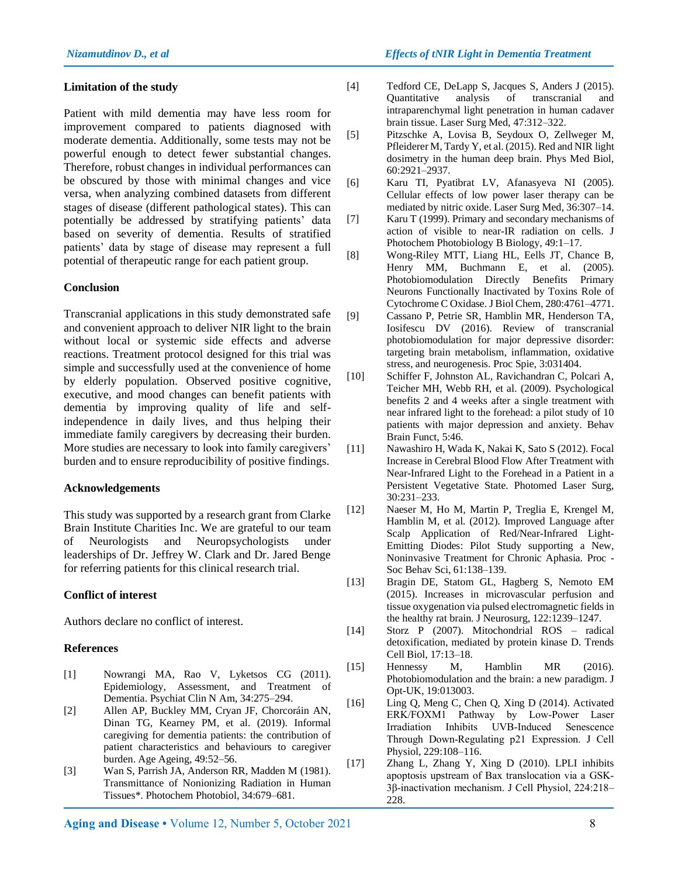## *Nizamutdinov D., et al Effects of tNIR Light in Dementia Treatment*

#### **Limitation of the study**

Patient with mild dementia may have less room for improvement compared to patients diagnosed with moderate dementia. Additionally, some tests may not be powerful enough to detect fewer substantial changes. Therefore, robust changes in individual performances can be obscured by those with minimal changes and vice versa, when analyzing combined datasets from different stages of disease (different pathological states). This can potentially be addressed by stratifying patients' data based on severity of dementia. Results of stratified patients' data by stage of disease may represent a full potential of therapeutic range for each patient group.

## **Conclusion**

Transcranial applications in this study demonstrated safe and convenient approach to deliver NIR light to the brain without local or systemic side effects and adverse reactions. Treatment protocol designed for this trial was simple and successfully used at the convenience of home by elderly population. Observed positive cognitive, executive, and mood changes can benefit patients with dementia by improving quality of life and selfindependence in daily lives, and thus helping their immediate family caregivers by decreasing their burden. More studies are necessary to look into family caregivers' burden and to ensure reproducibility of positive findings.

#### **Acknowledgements**

This study was supported by a research grant from Clarke Brain Institute Charities Inc. We are grateful to our team of Neurologists and Neuropsychologists under leaderships of Dr. Jeffrey W. Clark and Dr. Jared Benge for referring patients for this clinical research trial.

## **Conflict of interest**

Authors declare no conflict of interest.

#### **References**

- [1] Nowrangi MA, Rao V, Lyketsos CG (2011). Epidemiology, Assessment, and Treatment of Dementia. Psychiat Clin N Am, 34:275–294.
- [2] Allen AP, Buckley MM, Cryan JF, Chorcoráin AN, Dinan TG, Kearney PM, et al. (2019). Informal caregiving for dementia patients: the contribution of patient characteristics and behaviours to caregiver burden. Age Ageing, 49:52–56.
- [3] Wan S, Parrish JA, Anderson RR, Madden M (1981). Transmittance of Nonionizing Radiation in Human Tissues\*. Photochem Photobiol, 34:679–681.
- [4] Tedford CE, DeLapp S, Jacques S, Anders J (2015). Quantitative analysis of transcranial and intraparenchymal light penetration in human cadaver brain tissue. Laser Surg Med, 47:312–322.
- [5] Pitzschke A, Lovisa B, Seydoux O, Zellweger M, Pfleiderer M, Tardy Y, et al. (2015). Red and NIR light dosimetry in the human deep brain. Phys Med Biol, 60:2921–2937.
- [6] Karu TI, Pyatibrat LV, Afanasyeva NI (2005). Cellular effects of low power laser therapy can be mediated by nitric oxide. Laser Surg Med, 36:307–14.
- [7] Karu T (1999). Primary and secondary mechanisms of action of visible to near-IR radiation on cells. J Photochem Photobiology B Biology, 49:1–17.
- [8] Wong-Riley MTT, Liang HL, Eells JT, Chance B, Henry MM, Buchmann E, et al. (2005). Photobiomodulation Directly Benefits Primary Neurons Functionally Inactivated by Toxins Role of Cytochrome C Oxidase. J Biol Chem, 280:4761–4771.
- [9] Cassano P, Petrie SR, Hamblin MR, Henderson TA, Iosifescu DV (2016). Review of transcranial photobiomodulation for major depressive disorder: targeting brain metabolism, inflammation, oxidative stress, and neurogenesis. Proc Spie, 3:031404.
- [10] Schiffer F, Johnston AL, Ravichandran C, Polcari A, Teicher MH, Webb RH, et al. (2009). Psychological benefits 2 and 4 weeks after a single treatment with near infrared light to the forehead: a pilot study of 10 patients with major depression and anxiety. Behav Brain Funct, 5:46.
- [11] Nawashiro H, Wada K, Nakai K, Sato S (2012). Focal Increase in Cerebral Blood Flow After Treatment with Near-Infrared Light to the Forehead in a Patient in a Persistent Vegetative State. Photomed Laser Surg, 30:231–233.
- [12] Naeser M, Ho M, Martin P, Treglia E, Krengel M, Hamblin M, et al. (2012). Improved Language after Scalp Application of Red/Near-Infrared Light-Emitting Diodes: Pilot Study supporting a New, Noninvasive Treatment for Chronic Aphasia. Proc - Soc Behav Sci, 61:138–139.
- [13] Bragin DE, Statom GL, Hagberg S, Nemoto EM (2015). Increases in microvascular perfusion and tissue oxygenation via pulsed electromagnetic fields in the healthy rat brain. J Neurosurg, 122:1239–1247.
- [14] Storz P (2007). Mitochondrial ROS radical detoxification, mediated by protein kinase D. Trends Cell Biol, 17:13–18.
- [15] Hennessy M, Hamblin MR (2016). Photobiomodulation and the brain: a new paradigm. J Opt-UK, 19:013003.
- [16] Ling Q, Meng C, Chen Q, Xing D (2014). Activated ERK/FOXM1 Pathway by Low‐Power Laser Irradiation Inhibits UVB‐Induced Senescence Through Down‐Regulating p21 Expression. J Cell Physiol, 229:108–116.
- [17] Zhang L, Zhang Y, Xing D (2010). LPLI inhibits apoptosis upstream of Bax translocation via a GSK‐ 3β‐inactivation mechanism. J Cell Physiol, 224:218– 228.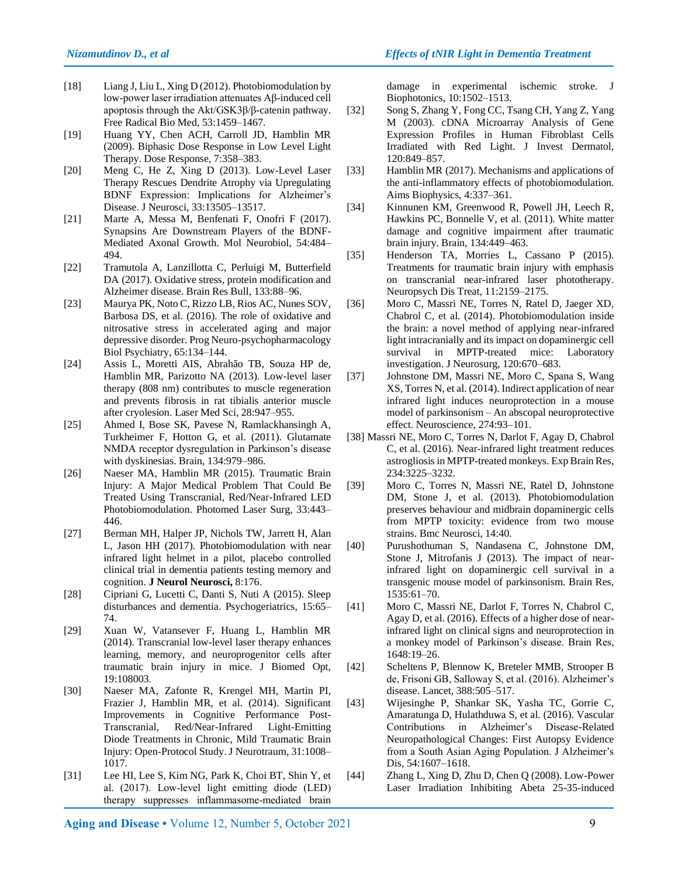- [18] Liang J, Liu L, Xing D (2012). Photobiomodulation by low-power laser irradiation attenuates Aβ-induced cell apoptosis through the Akt/GSK3β/β-catenin pathway. Free Radical Bio Med, 53:1459–1467.
- [19] Huang YY, Chen ACH, Carroll JD, Hamblin MR (2009). Biphasic Dose Response in Low Level Light Therapy. Dose Response, 7:358–383.
- [20] Meng C, He Z, Xing D (2013). Low-Level Laser Therapy Rescues Dendrite Atrophy via Upregulating BDNF Expression: Implications for Alzheimer's Disease. J Neurosci, 33:13505–13517.
- [21] Marte A, Messa M, Benfenati F, Onofri F (2017). Synapsins Are Downstream Players of the BDNF-Mediated Axonal Growth. Mol Neurobiol, 54:484– 494.
- [22] Tramutola A, Lanzillotta C, Perluigi M, Butterfield DA (2017). Oxidative stress, protein modification and Alzheimer disease. Brain Res Bull, 133:88–96.
- [23] Maurya PK, Noto C, Rizzo LB, Rios AC, Nunes SOV, Barbosa DS, et al. (2016). The role of oxidative and nitrosative stress in accelerated aging and major depressive disorder. Prog Neuro-psychopharmacology Biol Psychiatry, 65:134–144.
- [24] Assis L, Moretti AIS, Abrahão TB, Souza HP de, Hamblin MR, Parizotto NA (2013). Low-level laser therapy (808 nm) contributes to muscle regeneration and prevents fibrosis in rat tibialis anterior muscle after cryolesion. Laser Med Sci, 28:947–955.
- [25] Ahmed I, Bose SK, Pavese N, Ramlackhansingh A, Turkheimer F, Hotton G, et al. (2011). Glutamate NMDA receptor dysregulation in Parkinson's disease with dyskinesias. Brain, 134:979–986.
- [26] Naeser MA, Hamblin MR (2015). Traumatic Brain Injury: A Major Medical Problem That Could Be Treated Using Transcranial, Red/Near-Infrared LED Photobiomodulation. Photomed Laser Surg, 33:443– 446.
- [27] Berman MH, Halper JP, Nichols TW, Jarrett H, Alan L, Jason HH (2017). Photobiomodulation with near infrared light helmet in a pilot, placebo controlled clinical trial in dementia patients testing memory and cognition. **J Neurol Neurosci,** 8:176.
- [28] Cipriani G, Lucetti C, Danti S, Nuti A (2015). Sleep disturbances and dementia. Psychogeriatrics, 15:65– 74.
- [29] Xuan W, Vatansever F, Huang L, Hamblin MR (2014). Transcranial low-level laser therapy enhances learning, memory, and neuroprogenitor cells after traumatic brain injury in mice. J Biomed Opt, 19:108003.
- [30] Naeser MA, Zafonte R, Krengel MH, Martin PI, Frazier J, Hamblin MR, et al. (2014). Significant Improvements in Cognitive Performance Post-Transcranial, Red/Near-Infrared Light-Emitting Diode Treatments in Chronic, Mild Traumatic Brain Injury: Open-Protocol Study. J Neurotraum, 31:1008– 1017.
- [31] Lee HI, Lee S, Kim NG, Park K, Choi BT, Shin Y, et al. (2017). Low‐level light emitting diode (LED) therapy suppresses inflammasome‐mediated brain

damage in experimental ischemic stroke. J Biophotonics, 10:1502–1513.

- [32] Song S, Zhang Y, Fong CC, Tsang CH, Yang Z, Yang M (2003). cDNA Microarray Analysis of Gene Expression Profiles in Human Fibroblast Cells Irradiated with Red Light. J Invest Dermatol, 120:849–857.
- [33] Hamblin MR (2017). Mechanisms and applications of the anti-inflammatory effects of photobiomodulation. Aims Biophysics, 4:337–361.
- [34] Kinnunen KM, Greenwood R, Powell JH, Leech R, Hawkins PC, Bonnelle V, et al. (2011). White matter damage and cognitive impairment after traumatic brain injury. Brain, 134:449–463.
- [35] Henderson TA, Morries L, Cassano P (2015). Treatments for traumatic brain injury with emphasis on transcranial near-infrared laser phototherapy. Neuropsych Dis Treat, 11:2159–2175.
- [36] Moro C, Massri NE, Torres N, Ratel D, Jaeger XD, Chabrol C, et al. (2014). Photobiomodulation inside the brain: a novel method of applying near-infrared light intracranially and its impact on dopaminergic cell survival in MPTP-treated mice: Laboratory investigation. J Neurosurg, 120:670–683.
- [37] Johnstone DM, Massri NE, Moro C, Spana S, Wang XS, Torres N, et al. (2014). Indirect application of near infrared light induces neuroprotection in a mouse model of parkinsonism – An abscopal neuroprotective effect. Neuroscience, 274:93–101.
- [38] Massri NE, Moro C, Torres N, Darlot F, Agay D, Chabrol C, et al. (2016). Near-infrared light treatment reduces astrogliosis in MPTP-treated monkeys. Exp Brain Res, 234:3225–3232.
- [39] Moro C, Torres N, Massri NE, Ratel D, Johnstone DM, Stone J, et al. (2013). Photobiomodulation preserves behaviour and midbrain dopaminergic cells from MPTP toxicity: evidence from two mouse strains. Bmc Neurosci, 14:40.
- [40] Purushothuman S, Nandasena C, Johnstone DM, Stone J, Mitrofanis J (2013). The impact of nearinfrared light on dopaminergic cell survival in a transgenic mouse model of parkinsonism. Brain Res, 1535:61–70.
- [41] Moro C, Massri NE, Darlot F, Torres N, Chabrol C, Agay D, et al. (2016). Effects of a higher dose of nearinfrared light on clinical signs and neuroprotection in a monkey model of Parkinson's disease. Brain Res, 1648:19–26.
- [42] Scheltens P, Blennow K, Breteler MMB, Strooper B de, Frisoni GB, Salloway S, et al. (2016). Alzheimer's disease. Lancet, 388:505–517.
- [43] Wijesinghe P, Shankar SK, Yasha TC, Gorrie C, Amaratunga D, Hulathduwa S, et al. (2016). Vascular Contributions in Alzheimer's Disease-Related Neuropathological Changes: First Autopsy Evidence from a South Asian Aging Population. J Alzheimer's Dis, 54:1607–1618.
- [44] Zhang L, Xing D, Zhu D, Chen Q (2008). Low-Power Laser Irradiation Inhibiting Abeta 25-35-induced